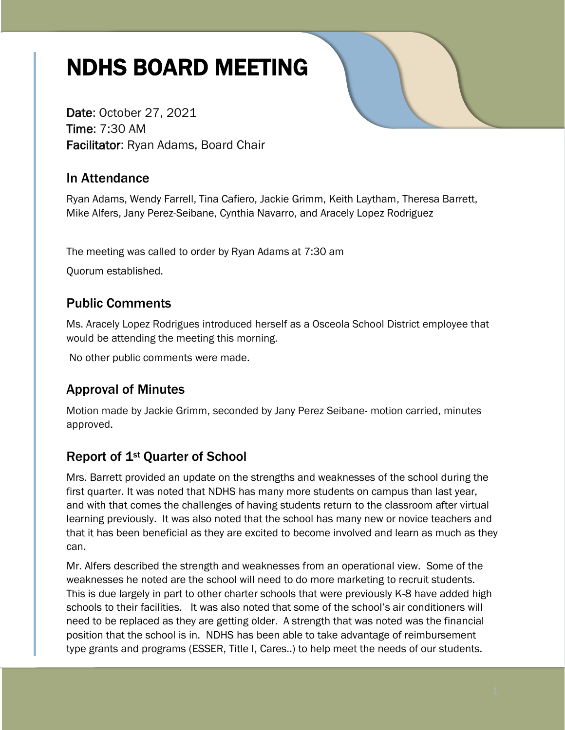# NDHS BOARD MEETING

Date: October 27, 2021 Time: 7:30 AM Facilitator: Ryan Adams, Board Chair

## In Attendance

Ryan Adams, Wendy Farrell, Tina Cafiero, Jackie Grimm, Keith Laytham, Theresa Barrett, Mike Alfers, Jany Perez-Seibane, Cynthia Navarro, and Aracely Lopez Rodriguez

The meeting was called to order by Ryan Adams at 7:30 am

Quorum established.

## Public Comments

Ms. Aracely Lopez Rodrigues introduced herself as a Osceola School District employee that would be attending the meeting this morning.

No other public comments were made.

## Approval of Minutes

Motion made by Jackie Grimm, seconded by Jany Perez Seibane- motion carried, minutes approved.

## Report of 1st Quarter of School

Mrs. Barrett provided an update on the strengths and weaknesses of the school during the first quarter. It was noted that NDHS has many more students on campus than last year, and with that comes the challenges of having students return to the classroom after virtual learning previously. It was also noted that the school has many new or novice teachers and that it has been beneficial as they are excited to become involved and learn as much as they can.

Mr. Alfers described the strength and weaknesses from an operational view. Some of the weaknesses he noted are the school will need to do more marketing to recruit students. This is due largely in part to other charter schools that were previously K-8 have added high schools to their facilities. It was also noted that some of the school's air conditioners will need to be replaced as they are getting older. A strength that was noted was the financial position that the school is in. NDHS has been able to take advantage of reimbursement type grants and programs (ESSER, Title I, Cares..) to help meet the needs of our students.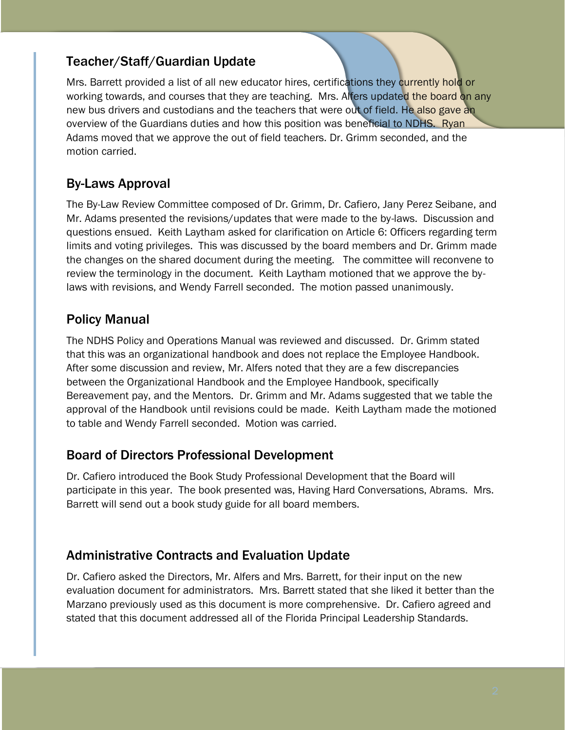## Teacher/Staff/Guardian Update

Mrs. Barrett provided a list of all new educator hires, certifications they currently hold or working towards, and courses that they are teaching. Mrs. Alfers updated the board on any new bus drivers and custodians and the teachers that were out of field. He also gave an overview of the Guardians duties and how this position was beneficial to NDHS. Ryan Adams moved that we approve the out of field teachers. Dr. Grimm seconded, and the motion carried.

## By-Laws Approval

The By-Law Review Committee composed of Dr. Grimm, Dr. Cafiero, Jany Perez Seibane, and Mr. Adams presented the revisions/updates that were made to the by-laws. Discussion and questions ensued. Keith Laytham asked for clarification on Article 6: Officers regarding term limits and voting privileges. This was discussed by the board members and Dr. Grimm made the changes on the shared document during the meeting. The committee will reconvene to review the terminology in the document. Keith Laytham motioned that we approve the bylaws with revisions, and Wendy Farrell seconded. The motion passed unanimously.

## Policy Manual

The NDHS Policy and Operations Manual was reviewed and discussed. Dr. Grimm stated that this was an organizational handbook and does not replace the Employee Handbook. After some discussion and review, Mr. Alfers noted that they are a few discrepancies between the Organizational Handbook and the Employee Handbook, specifically Bereavement pay, and the Mentors. Dr. Grimm and Mr. Adams suggested that we table the approval of the Handbook until revisions could be made. Keith Laytham made the motioned to table and Wendy Farrell seconded. Motion was carried.

#### Board of Directors Professional Development

Dr. Cafiero introduced the Book Study Professional Development that the Board will participate in this year. The book presented was, Having Hard Conversations, Abrams. Mrs. Barrett will send out a book study guide for all board members.

#### Administrative Contracts and Evaluation Update

Dr. Cafiero asked the Directors, Mr. Alfers and Mrs. Barrett, for their input on the new evaluation document for administrators. Mrs. Barrett stated that she liked it better than the Marzano previously used as this document is more comprehensive. Dr. Cafiero agreed and stated that this document addressed all of the Florida Principal Leadership Standards.